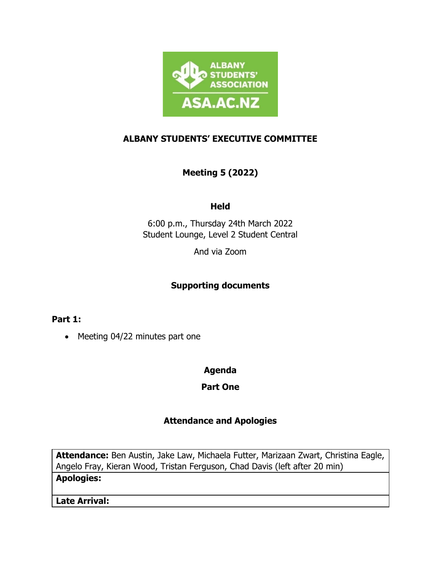

# **ALBANY STUDENTS' EXECUTIVE COMMITTEE**

# **Meeting 5 (2022)**

## **Held**

6:00 p.m., Thursday 24th March 2022 Student Lounge, Level 2 Student Central

And via Zoom

## **Supporting documents**

**Part 1:**

• Meeting 04/22 minutes part one

## **Agenda**

**Part One**

## **Attendance and Apologies**

**Attendance:** Ben Austin, Jake Law, Michaela Futter, Marizaan Zwart, Christina Eagle, Angelo Fray, Kieran Wood, Tristan Ferguson, Chad Davis (left after 20 min)

## **Apologies:**

**Late Arrival:**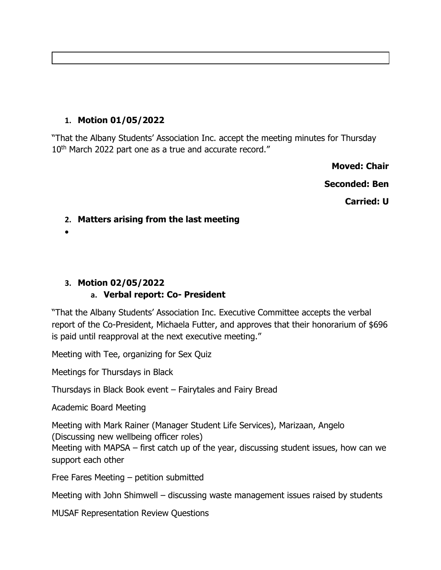# **1. Motion 01/05/2022**

"That the Albany Students' Association Inc. accept the meeting minutes for Thursday 10<sup>th</sup> March 2022 part one as a true and accurate record."

**Moved: Chair**

**Seconded: Ben**

**Carried: U**

## **2. Matters arising from the last meeting**

•

# **3. Motion 02/05/2022**

## **a. Verbal report: Co- President**

"That the Albany Students' Association Inc. Executive Committee accepts the verbal report of the Co-President, Michaela Futter, and approves that their honorarium of \$696 is paid until reapproval at the next executive meeting."

Meeting with Tee, organizing for Sex Quiz

Meetings for Thursdays in Black

Thursdays in Black Book event – Fairytales and Fairy Bread

Academic Board Meeting

Meeting with Mark Rainer (Manager Student Life Services), Marizaan, Angelo (Discussing new wellbeing officer roles) Meeting with MAPSA – first catch up of the year, discussing student issues, how can we support each other

Free Fares Meeting – petition submitted

Meeting with John Shimwell – discussing waste management issues raised by students

MUSAF Representation Review Questions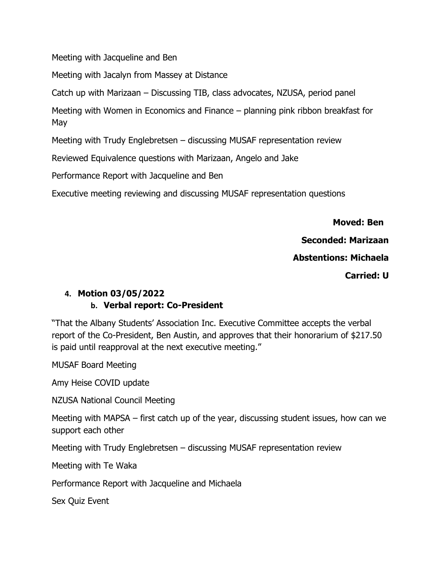Meeting with Jacqueline and Ben

Meeting with Jacalyn from Massey at Distance

Catch up with Marizaan – Discussing TIB, class advocates, NZUSA, period panel

Meeting with Women in Economics and Finance – planning pink ribbon breakfast for May

Meeting with Trudy Englebretsen – discussing MUSAF representation review

Reviewed Equivalence questions with Marizaan, Angelo and Jake

Performance Report with Jacqueline and Ben

Executive meeting reviewing and discussing MUSAF representation questions

 **Moved: Ben**

**Seconded: Marizaan**

**Abstentions: Michaela**

**Carried: U**

# **4. Motion 03/05/2022**

## **b. Verbal report: Co-President**

"That the Albany Students' Association Inc. Executive Committee accepts the verbal report of the Co-President, Ben Austin, and approves that their honorarium of \$217.50 is paid until reapproval at the next executive meeting."

MUSAF Board Meeting

Amy Heise COVID update

NZUSA National Council Meeting

Meeting with MAPSA – first catch up of the year, discussing student issues, how can we support each other

Meeting with Trudy Englebretsen – discussing MUSAF representation review

Meeting with Te Waka

Performance Report with Jacqueline and Michaela

Sex Quiz Event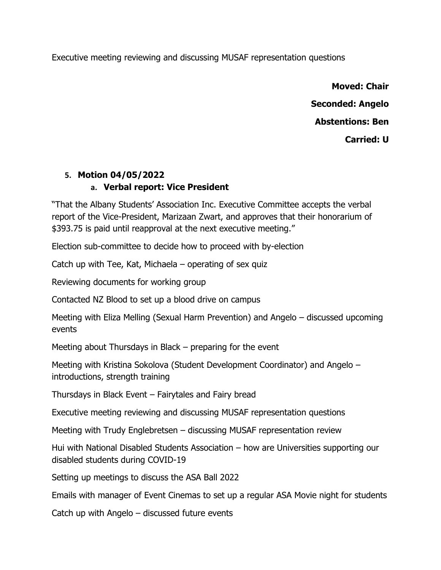Executive meeting reviewing and discussing MUSAF representation questions

**Moved: Chair Seconded: Angelo Abstentions: Ben Carried: U**

# **5. Motion 04/05/2022**

## **a. Verbal report: Vice President**

"That the Albany Students' Association Inc. Executive Committee accepts the verbal report of the Vice-President, Marizaan Zwart, and approves that their honorarium of \$393.75 is paid until reapproval at the next executive meeting."

Election sub-committee to decide how to proceed with by-election

Catch up with Tee, Kat, Michaela – operating of sex quiz

Reviewing documents for working group

Contacted NZ Blood to set up a blood drive on campus

Meeting with Eliza Melling (Sexual Harm Prevention) and Angelo – discussed upcoming events

Meeting about Thursdays in Black – preparing for the event

Meeting with Kristina Sokolova (Student Development Coordinator) and Angelo – introductions, strength training

Thursdays in Black Event – Fairytales and Fairy bread

Executive meeting reviewing and discussing MUSAF representation questions

Meeting with Trudy Englebretsen – discussing MUSAF representation review

Hui with National Disabled Students Association – how are Universities supporting our disabled students during COVID-19

Setting up meetings to discuss the ASA Ball 2022

Emails with manager of Event Cinemas to set up a regular ASA Movie night for students

Catch up with Angelo – discussed future events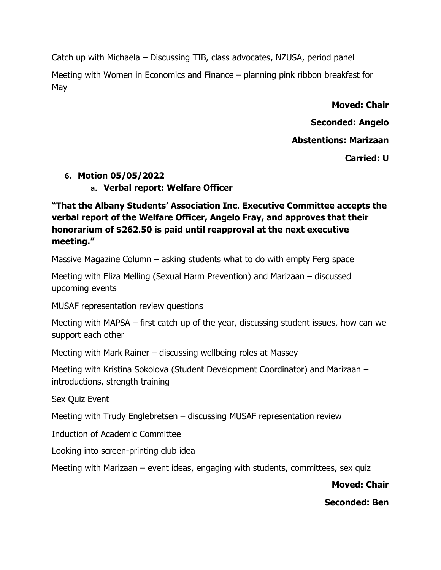Catch up with Michaela – Discussing TIB, class advocates, NZUSA, period panel

Meeting with Women in Economics and Finance – planning pink ribbon breakfast for May

**Moved: Chair**

**Seconded: Angelo**

**Abstentions: Marizaan**

**Carried: U**

## **6. Motion 05/05/2022**

## **a. Verbal report: Welfare Officer**

**"That the Albany Students' Association Inc. Executive Committee accepts the verbal report of the Welfare Officer, Angelo Fray, and approves that their honorarium of \$262.50 is paid until reapproval at the next executive meeting."**

Massive Magazine Column – asking students what to do with empty Ferg space

Meeting with Eliza Melling (Sexual Harm Prevention) and Marizaan – discussed upcoming events

MUSAF representation review questions

Meeting with MAPSA – first catch up of the year, discussing student issues, how can we support each other

Meeting with Mark Rainer – discussing wellbeing roles at Massey

Meeting with Kristina Sokolova (Student Development Coordinator) and Marizaan – introductions, strength training

Sex Quiz Event

Meeting with Trudy Englebretsen – discussing MUSAF representation review

Induction of Academic Committee

Looking into screen-printing club idea

Meeting with Marizaan – event ideas, engaging with students, committees, sex quiz

**Moved: Chair**

**Seconded: Ben**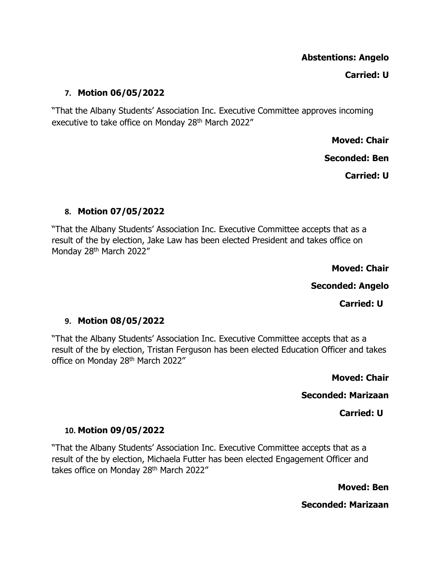## **Abstentions: Angelo**

#### **Carried: U**

#### **7. Motion 06/05/2022**

"That the Albany Students' Association Inc. Executive Committee approves incoming executive to take office on Monday 28<sup>th</sup> March 2022"

**Moved: Chair**

**Seconded: Ben**

**Carried: U**

#### **8. Motion 07/05/2022**

"That the Albany Students' Association Inc. Executive Committee accepts that as a result of the by election, Jake Law has been elected President and takes office on Monday 28<sup>th</sup> March 2022"

**Moved: Chair**

**Seconded: Angelo**

**Carried: U**

#### **9. Motion 08/05/2022**

"That the Albany Students' Association Inc. Executive Committee accepts that as a result of the by election, Tristan Ferguson has been elected Education Officer and takes office on Monday 28<sup>th</sup> March 2022"

**Moved: Chair**

**Seconded: Marizaan**

**Carried: U**

#### **10. Motion 09/05/2022**

"That the Albany Students' Association Inc. Executive Committee accepts that as a result of the by election, Michaela Futter has been elected Engagement Officer and takes office on Monday 28<sup>th</sup> March 2022"

**Moved: Ben**

**Seconded: Marizaan**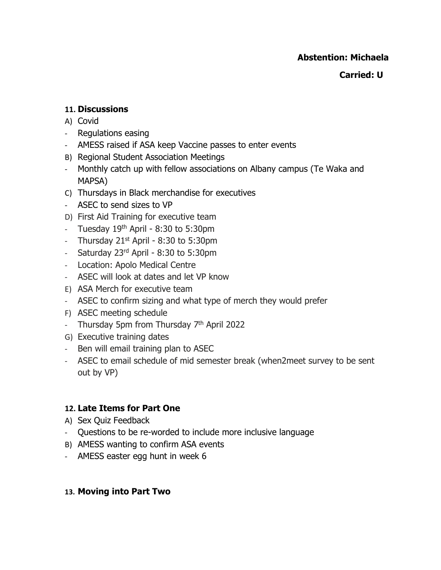## **Abstention: Michaela**

## **Carried: U**

## **11. Discussions**

- A) Covid
- Regulations easing
- AMESS raised if ASA keep Vaccine passes to enter events
- B) Regional Student Association Meetings
- Monthly catch up with fellow associations on Albany campus (Te Waka and MAPSA)
- C) Thursdays in Black merchandise for executives
- ASEC to send sizes to VP
- D) First Aid Training for executive team
- Tuesday  $19<sup>th</sup>$  April 8:30 to 5:30pm
- Thursday 21<sup>st</sup> April 8:30 to 5:30pm
- Saturday 23<sup>rd</sup> April 8:30 to 5:30pm
- Location: Apolo Medical Centre
- ASEC will look at dates and let VP know
- E) ASA Merch for executive team
- ASEC to confirm sizing and what type of merch they would prefer
- F) ASEC meeting schedule
- Thursday 5pm from Thursday 7<sup>th</sup> April 2022
- G) Executive training dates
- Ben will email training plan to ASEC
- ASEC to email schedule of mid semester break (when2meet survey to be sent out by VP)

## **12. Late Items for Part One**

- A) Sex Quiz Feedback
- Questions to be re-worded to include more inclusive language
- B) AMESS wanting to confirm ASA events
- AMESS easter egg hunt in week 6

#### **13. Moving into Part Two**